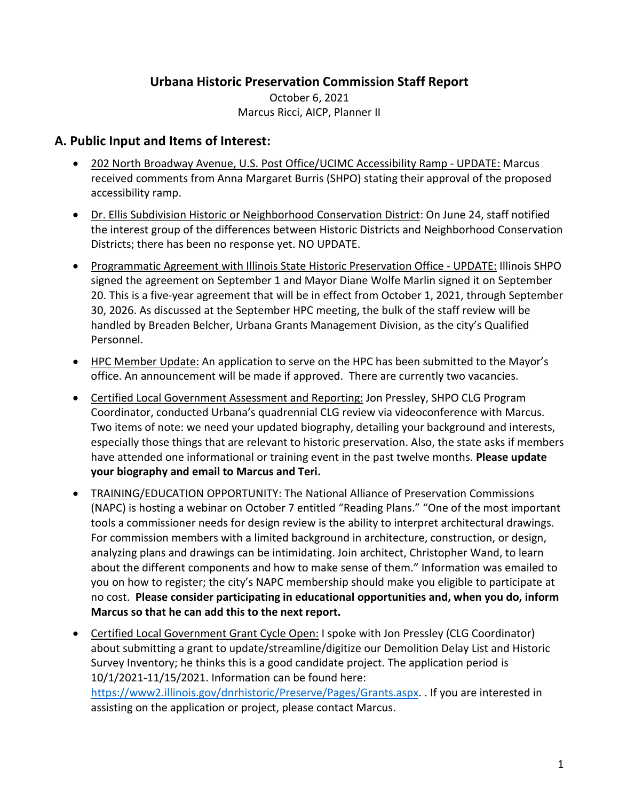## **Urbana Historic Preservation Commission Staff Report**

October 6, 2021 Marcus Ricci, AICP, Planner II

# **A. Public Input and Items of Interest:**

- 202 North Broadway Avenue, U.S. Post Office/UCIMC Accessibility Ramp UPDATE: Marcus received comments from Anna Margaret Burris (SHPO) stating their approval of the proposed accessibility ramp.
- Dr. Ellis Subdivision Historic or Neighborhood Conservation District: On June 24, staff notified the interest group of the differences between Historic Districts and Neighborhood Conservation Districts; there has been no response yet. NO UPDATE.
- Programmatic Agreement with Illinois State Historic Preservation Office UPDATE: Illinois SHPO signed the agreement on September 1 and Mayor Diane Wolfe Marlin signed it on September 20. This is a five-year agreement that will be in effect from October 1, 2021, through September 30, 2026. As discussed at the September HPC meeting, the bulk of the staff review will be handled by Breaden Belcher, Urbana Grants Management Division, as the city's Qualified Personnel.
- HPC Member Update: An application to serve on the HPC has been submitted to the Mayor's office. An announcement will be made if approved. There are currently two vacancies.
- Certified Local Government Assessment and Reporting: Jon Pressley, SHPO CLG Program Coordinator, conducted Urbana's quadrennial CLG review via videoconference with Marcus. Two items of note: we need your updated biography, detailing your background and interests, especially those things that are relevant to historic preservation. Also, the state asks if members have attended one informational or training event in the past twelve months. **Please update your biography and email to Marcus and Teri.**
- TRAINING/EDUCATION OPPORTUNITY: The National Alliance of Preservation Commissions (NAPC) is hosting a webinar on October 7 entitled "Reading Plans." "One of the most important tools a commissioner needs for design review is the ability to interpret architectural drawings. For commission members with a limited background in architecture, construction, or design, analyzing plans and drawings can be intimidating. Join architect, Christopher Wand, to learn about the different components and how to make sense of them." Information was emailed to you on how to register; the city's NAPC membership should make you eligible to participate at no cost. **Please consider participating in educational opportunities and, when you do, inform Marcus so that he can add this to the next report.**
- Certified Local Government Grant Cycle Open: I spoke with Jon Pressley (CLG Coordinator) about submitting a grant to update/streamline/digitize our Demolition Delay List and Historic Survey Inventory; he thinks this is a good candidate project. The application period is 10/1/2021-11/15/2021. Information can be found here: [https://www2.illinois.gov/dnrhistoric/Preserve/Pages/Grants.aspx.](https://www2.illinois.gov/dnrhistoric/Preserve/Pages/Grants.aspx) . If you are interested in assisting on the application or project, please contact Marcus.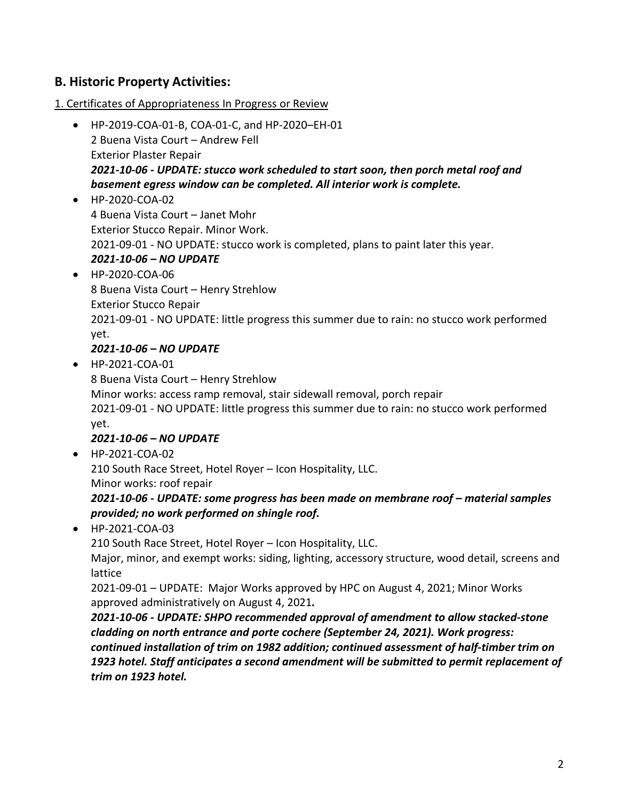# **B. Historic Property Activities:**

1. Certificates of Appropriateness In Progress or Review

- HP-2019-COA-01-B, COA-01-C, and HP-2020–EH-01 2 Buena Vista Court – Andrew Fell Exterior Plaster Repair *2021-10-06 - UPDATE: stucco work scheduled to start soon, then porch metal roof and basement egress window can be completed. All interior work is complete.*
- HP-2020-COA-02 4 Buena Vista Court – Janet Mohr Exterior Stucco Repair. Minor Work. 2021-09-01 - NO UPDATE: stucco work is completed, plans to paint later this year. *2021-10-06 – NO UPDATE*
- HP-2020-COA-06 8 Buena Vista Court – Henry Strehlow Exterior Stucco Repair 2021-09-01 - NO UPDATE: little progress this summer due to rain: no stucco work performed yet.

#### *2021-10-06 – NO UPDATE*

• HP-2021-COA-01

8 Buena Vista Court – Henry Strehlow

Minor works: access ramp removal, stair sidewall removal, porch repair

2021-09-01 - NO UPDATE: little progress this summer due to rain: no stucco work performed yet.

## *2021-10-06 – NO UPDATE*

• HP-2021-COA-02

210 South Race Street, Hotel Royer – Icon Hospitality, LLC.

Minor works: roof repair

*2021-10-06 - UPDATE: some progress has been made on membrane roof – material samples provided; no work performed on shingle roof.*

• HP-2021-COA-03

210 South Race Street, Hotel Royer – Icon Hospitality, LLC.

Major, minor, and exempt works: siding, lighting, accessory structure, wood detail, screens and lattice

2021-09-01 – UPDATE: Major Works approved by HPC on August 4, 2021; Minor Works approved administratively on August 4, 2021*.*

*2021-10-06 - UPDATE: SHPO recommended approval of amendment to allow stacked-stone cladding on north entrance and porte cochere (September 24, 2021). Work progress: continued installation of trim on 1982 addition; continued assessment of half-timber trim on 1923 hotel. Staff anticipates a second amendment will be submitted to permit replacement of trim on 1923 hotel.*